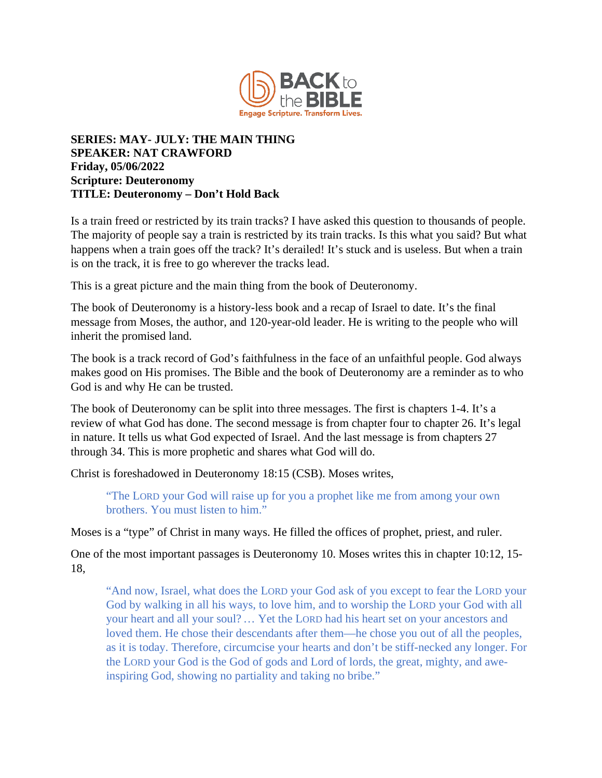

## **SERIES: MAY- JULY: THE MAIN THING SPEAKER: NAT CRAWFORD Friday, 05/06/2022 Scripture: Deuteronomy TITLE: Deuteronomy – Don't Hold Back**

Is a train freed or restricted by its train tracks? I have asked this question to thousands of people. The majority of people say a train is restricted by its train tracks. Is this what you said? But what happens when a train goes off the track? It's derailed! It's stuck and is useless. But when a train is on the track, it is free to go wherever the tracks lead.

This is a great picture and the main thing from the book of Deuteronomy.

The book of Deuteronomy is a history-less book and a recap of Israel to date. It's the final message from Moses, the author, and 120-year-old leader. He is writing to the people who will inherit the promised land.

The book is a track record of God's faithfulness in the face of an unfaithful people. God always makes good on His promises. The Bible and the book of Deuteronomy are a reminder as to who God is and why He can be trusted.

The book of Deuteronomy can be split into three messages. The first is chapters 1-4. It's a review of what God has done. The second message is from chapter four to chapter 26. It's legal in nature. It tells us what God expected of Israel. And the last message is from chapters 27 through 34. This is more prophetic and shares what God will do.

Christ is foreshadowed in Deuteronomy 18:15 (CSB). Moses writes,

"The LORD your God will raise up for you a prophet like me from among your own brothers. You must listen to him."

Moses is a "type" of Christ in many ways. He filled the offices of prophet, priest, and ruler.

One of the most important passages is Deuteronomy 10. Moses writes this in chapter 10:12, 15- 18,

"And now, Israel, what does the LORD your God ask of you except to fear the LORD your God by walking in all his ways, to love him, and to worship the LORD your God with all your heart and all your soul?… Yet the LORD had his heart set on your ancestors and loved them. He chose their descendants after them—he chose you out of all the peoples, as it is today. Therefore, circumcise your hearts and don't be stiff-necked any longer. For the LORD your God is the God of gods and Lord of lords, the great, mighty, and aweinspiring God, showing no partiality and taking no bribe."